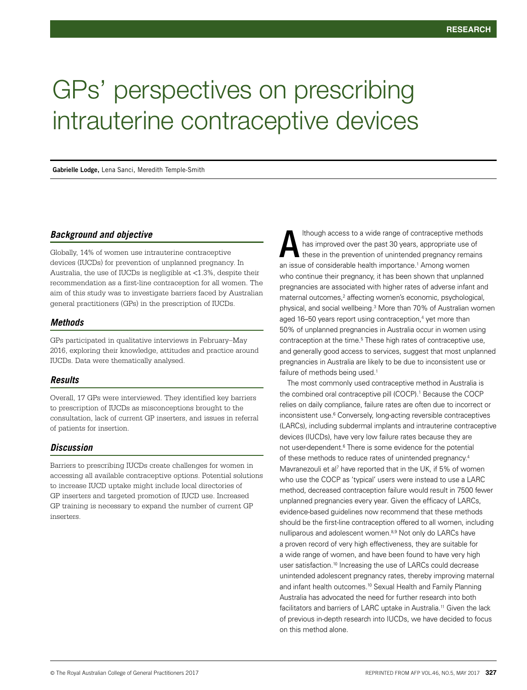# GPs' perspectives on prescribing intrauterine contraceptive devices

**Gabrielle Lodge,** Lena Sanci, Meredith Temple-Smith

## *Background and objective*

Globally, 14% of women use intrauterine contraceptive devices (IUCDs) for prevention of unplanned pregnancy. In Australia, the use of IUCDs is negligible at <1.3%, despite their recommendation as a first-line contraception for all women. The aim of this study was to investigate barriers faced by Australian general practitioners (GPs) in the prescription of IUCDs.

## *Methods*

GPs participated in qualitative interviews in February–May 2016, exploring their knowledge, attitudes and practice around IUCDs. Data were thematically analysed.

## *Results*

Overall, 17 GPs were interviewed. They identified key barriers to prescription of IUCDs as misconceptions brought to the consultation, lack of current GP inserters, and issues in referral of patients for insertion.

# *Discussion*

Barriers to prescribing IUCDs create challenges for women in accessing all available contraceptive options. Potential solutions to increase IUCD uptake might include local directories of GP inserters and targeted promotion of IUCD use. Increased GP training is necessary to expand the number of current GP inserters.

lthough access to a wide range of contraceptive methods has improved over the past 30 years, appropriate use of these in the prevention of unintended pregnancy remains an issue of considerable health importance.<sup>1</sup> Among women who continue their pregnancy, it has been shown that unplanned pregnancies are associated with higher rates of adverse infant and maternal outcomes,<sup>2</sup> affecting women's economic, psychological, physical, and social wellbeing.<sup>3</sup> More than 70% of Australian women aged 16–50 years report using contraception,<sup>4</sup> yet more than 50% of unplanned pregnancies in Australia occur in women using contraception at the time.<sup>5</sup> These high rates of contraceptive use, and generally good access to services, suggest that most unplanned pregnancies in Australia are likely to be due to inconsistent use or failure of methods being used.<sup>1</sup> A

The most commonly used contraceptive method in Australia is the combined oral contraceptive pill (COCP).<sup>1</sup> Because the COCP relies on daily compliance, failure rates are often due to incorrect or inconsistent use.6 Conversely, long-acting reversible contraceptives (LARCs), including subdermal implants and intrauterine contraceptive devices (IUCDs), have very low failure rates because they are not user-dependent.<sup>6</sup> There is some evidence for the potential of these methods to reduce rates of unintended pregnancy.4 Mavranezouli et al<sup>7</sup> have reported that in the UK, if 5% of women who use the COCP as 'typical' users were instead to use a LARC method, decreased contraception failure would result in 7500 fewer unplanned pregnancies every year. Given the efficacy of LARCs, evidence-based guidelines now recommend that these methods should be the first-line contraception offered to all women, including nulliparous and adolescent women.<sup>8,9</sup> Not only do LARCs have a proven record of very high effectiveness, they are suitable for a wide range of women, and have been found to have very high user satisfaction.10 Increasing the use of LARCs could decrease unintended adolescent pregnancy rates, thereby improving maternal and infant health outcomes.<sup>10</sup> Sexual Health and Family Planning Australia has advocated the need for further research into both facilitators and barriers of LARC uptake in Australia.11 Given the lack of previous in-depth research into IUCDs, we have decided to focus on this method alone.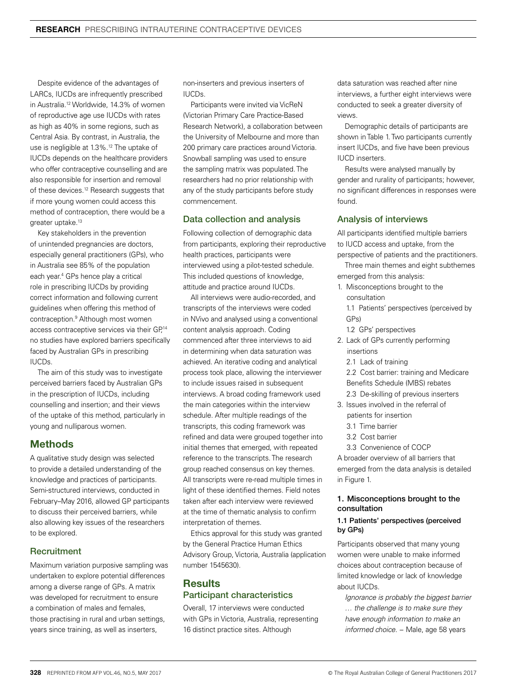Despite evidence of the advantages of LARCs, IUCDs are infrequently prescribed in Australia.12 Worldwide, 14.3% of women of reproductive age use IUCDs with rates as high as 40% in some regions, such as Central Asia. By contrast, in Australia, the use is negligible at 1.3%.<sup>12</sup> The uptake of IUCDs depends on the healthcare providers who offer contraceptive counselling and are also responsible for insertion and removal of these devices.<sup>12</sup> Research suggests that if more young women could access this method of contraception, there would be a greater uptake.<sup>13</sup>

Key stakeholders in the prevention of unintended pregnancies are doctors, especially general practitioners (GPs), who in Australia see 85% of the population each year.4 GPs hence play a critical role in prescribing IUCDs by providing correct information and following current guidelines when offering this method of contraception.9 Although most women access contraceptive services via their GP,<sup>14</sup> no studies have explored barriers specifically faced by Australian GPs in prescribing IUCDs.

The aim of this study was to investigate perceived barriers faced by Australian GPs in the prescription of IUCDs, including counselling and insertion; and their views of the uptake of this method, particularly in young and nulliparous women.

# **Methods**

A qualitative study design was selected to provide a detailed understanding of the knowledge and practices of participants. Semi-structured interviews, conducted in February–May 2016, allowed GP participants to discuss their perceived barriers, while also allowing key issues of the researchers to be explored.

# **Recruitment**

Maximum variation purposive sampling was undertaken to explore potential differences among a diverse range of GPs. A matrix was developed for recruitment to ensure a combination of males and females, those practising in rural and urban settings, years since training, as well as inserters,

non-inserters and previous inserters of IUCDs.

Participants were invited via VicReN (Victorian Primary Care Practice-Based Research Network), a collaboration between the University of Melbourne and more than 200 primary care practices around Victoria. Snowball sampling was used to ensure the sampling matrix was populated. The researchers had no prior relationship with any of the study participants before study commencement.

## Data collection and analysis

Following collection of demographic data from participants, exploring their reproductive health practices, participants were interviewed using a pilot-tested schedule. This included questions of knowledge, attitude and practice around IUCDs.

All interviews were audio-recorded, and transcripts of the interviews were coded in NVivo and analysed using a conventional content analysis approach. Coding commenced after three interviews to aid in determining when data saturation was achieved. An iterative coding and analytical process took place, allowing the interviewer to include issues raised in subsequent interviews. A broad coding framework used the main categories within the interview schedule. After multiple readings of the transcripts, this coding framework was refined and data were grouped together into initial themes that emerged, with repeated reference to the transcripts. The research group reached consensus on key themes. All transcripts were re-read multiple times in light of these identified themes. Field notes taken after each interview were reviewed at the time of thematic analysis to confirm interpretation of themes.

Ethics approval for this study was granted by the General Practice Human Ethics Advisory Group, Victoria, Australia (application number 1545630).

# **Results** Participant characteristics

Overall, 17 interviews were conducted with GPs in Victoria, Australia, representing 16 distinct practice sites. Although

data saturation was reached after nine interviews, a further eight interviews were conducted to seek a greater diversity of views.

Demographic details of participants are shown in Table 1. Two participants currently insert IUCDs, and five have been previous IUCD inserters.

Results were analysed manually by gender and rurality of participants; however, no significant differences in responses were found.

## Analysis of interviews

All participants identified multiple barriers to IUCD access and uptake, from the perspective of patients and the practitioners.

Three main themes and eight subthemes emerged from this analysis:

1. Misconceptions brought to the consultation

1.1 Patients' perspectives (perceived by GPs)

1.2 GPs' perspectives

- 2. Lack of GPs currently performing insertions
	- 2.1 Lack of training

2.2 Cost barrier: training and Medicare Benefits Schedule (MBS) rebates 2.3 De-skilling of previous inserters

- 
- 3. Issues involved in the referral of patients for insertion 3.1 Time barrier
	-
	- 3.2 Cost barrier
	- 3.3 Convenience of COCP

A broader overview of all barriers that emerged from the data analysis is detailed in Figure 1.

## 1. Misconceptions brought to the consultation

### 1.1 Patients' perspectives (perceived by GPs)

Participants observed that many young women were unable to make informed choices about contraception because of limited knowledge or lack of knowledge about IUCDs.

*Ignorance is probably the biggest barrier … the challenge is to make sure they have enough information to make an informed choice.* − Male, age 58 years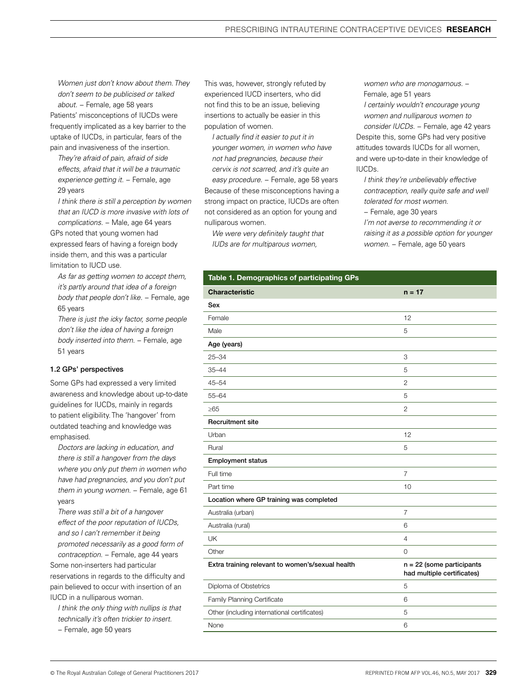*Women just don't know about them. They don't seem to be publicised or talked about.* − Female, age 58 years Patients' misconceptions of IUCDs were frequently implicated as a key barrier to the uptake of IUCDs, in particular, fears of the pain and invasiveness of the insertion.

*They're afraid of pain, afraid of side effects, afraid that it will be a traumatic experience getting it.* − Female, age 29 years

*I think there is still a perception by women that an IUCD is more invasive with lots of complications.* − Male, age 64 years

GPs noted that young women had expressed fears of having a foreign body inside them, and this was a particular limitation to IUCD use.

*As far as getting women to accept them, it's partly around that idea of a foreign body that people don't like.* − Female, age 65 years

*There is just the icky factor, some people don't like the idea of having a foreign body inserted into them.* − Female, age 51 years

#### 1.2 GPs' perspectives

Some GPs had expressed a very limited awareness and knowledge about up-to-date guidelines for IUCDs, mainly in regards to patient eligibility. The 'hangover' from outdated teaching and knowledge was emphasised.

*Doctors are lacking in education, and there is still a hangover from the days where you only put them in women who have had pregnancies, and you don't put them in young women.* − Female, age 61 years

*There was still a bit of a hangover effect of the poor reputation of IUCDs, and so I can't remember it being promoted necessarily as a good form of contraception.* − Female, age 44 years

Some non-inserters had particular reservations in regards to the difficulty and pain believed to occur with insertion of an IUCD in a nulliparous woman.

*I think the only thing with nullips is that technically it's often trickier to insert.* 

− Female, age 50 years

This was, however, strongly refuted by experienced IUCD inserters, who did not find this to be an issue, believing insertions to actually be easier in this population of women.

*I actually find it easier to put it in younger women, in women who have not had pregnancies, because their cervix is not scarred, and it's quite an easy procedure.* − Female, age 58 years Because of these misconceptions having a strong impact on practice, IUCDs are often not considered as an option for young and nulliparous women.

*We were very definitely taught that IUDs are for multiparous women,* 

*women who are monogamous.* − Female, age 51 years

*I certainly wouldn't encourage young women and nulliparous women to* 

*consider IUCDs.* − Female, age 42 years Despite this, some GPs had very positive attitudes towards IUCDs for all women, and were up-to-date in their knowledge of IUCDs.

*I think they're unbelievably effective contraception, really quite safe and well tolerated for most women.* 

− Female, age 30 years

*I'm not averse to recommending it or raising it as a possible option for younger women.* − Female, age 50 years

| Table 1. Demographics of participating GPs       |                                                           |
|--------------------------------------------------|-----------------------------------------------------------|
| <b>Characteristic</b>                            | $n = 17$                                                  |
| Sex                                              |                                                           |
| Female                                           | 12                                                        |
| Male                                             | 5                                                         |
| Age (years)                                      |                                                           |
| $25 - 34$                                        | 3                                                         |
| $35 - 44$                                        | 5                                                         |
| $45 - 54$                                        | $\mathbf{2}$                                              |
| 55-64                                            | 5                                                         |
| ≥65                                              | 2                                                         |
| <b>Recruitment site</b>                          |                                                           |
| Urban                                            | 12                                                        |
| Rural                                            | 5                                                         |
| <b>Employment status</b>                         |                                                           |
| Full time                                        | $\overline{7}$                                            |
| Part time                                        | 10                                                        |
| Location where GP training was completed         |                                                           |
| Australia (urban)                                | $\overline{7}$                                            |
| Australia (rural)                                | 6                                                         |
| UK                                               | 4                                                         |
| Other                                            | $\mathbf 0$                                               |
| Extra training relevant to women's/sexual health | $n = 22$ (some participants<br>had multiple certificates) |
| Diploma of Obstetrics                            | 5                                                         |
| Family Planning Certificate                      | 6                                                         |
| Other (including international certificates)     | 5                                                         |
| None                                             | 6                                                         |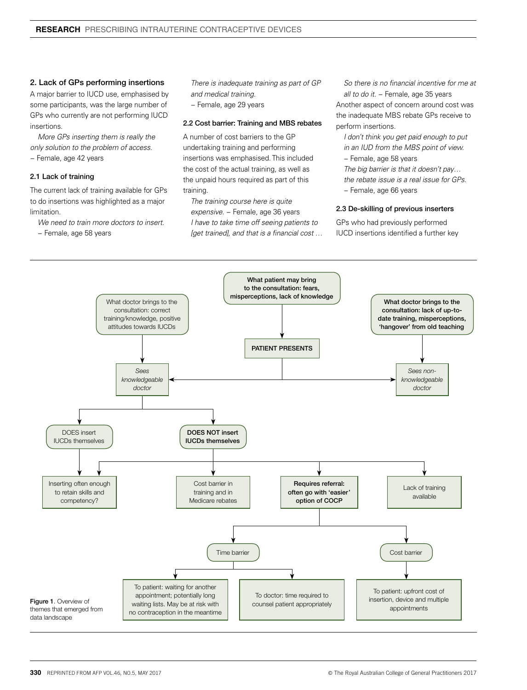#### 2. Lack of GPs performing insertions

A major barrier to IUCD use, emphasised by some participants, was the large number of GPs who currently are not performing IUCD insertions.

*More GPs inserting them is really the only solution to the problem of access*.

− Female, age 42 years

#### 2.1 Lack of training

The current lack of training available for GPs to do insertions was highlighted as a major limitation.

*We need to train more doctors to insert.* 

− Female, age 58 years

*There is inadequate training as part of GP and medical training.* 

− Female, age 29 years

#### 2.2 Cost barrier: Training and MBS rebates

A number of cost barriers to the GP undertaking training and performing insertions was emphasised. This included the cost of the actual training, as well as the unpaid hours required as part of this training.

*The training course here is quite expensive.* − Female, age 36 years *I have to take time off seeing patients to [get trained], and that is a financial cost …* 

*So there is no financial incentive for me at all to do it.* − Female, age 35 years Another aspect of concern around cost was the inadequate MBS rebate GPs receive to perform insertions.

*I don't think you get paid enough to put in an IUD from the MBS point of view.*  − Female, age 58 years

*The big barrier is that it doesn't pay… the rebate issue is a real issue for GPs.* 

− Female, age 66 years

#### 2.3 De-skilling of previous inserters

GPs who had previously performed IUCD insertions identified a further key

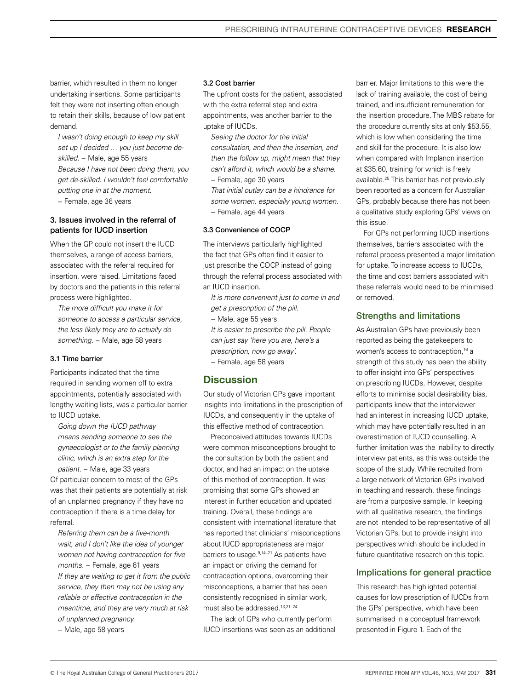barrier, which resulted in them no longer undertaking insertions. Some participants felt they were not inserting often enough to retain their skills, because of low patient demand.

*I wasn't doing enough to keep my skill set up I decided … you just become deskilled.* − Male, age 55 years *Because I have not been doing them, you get de-skilled. I wouldn't feel comfortable putting one in at the moment.* 

− Female, age 36 years

## 3. Issues involved in the referral of patients for IUCD insertion

When the GP could not insert the IUCD themselves, a range of access barriers, associated with the referral required for insertion, were raised. Limitations faced by doctors and the patients in this referral process were highlighted.

*The more difficult you make it for someone to access a particular service, the less likely they are to actually do something.* − Male, age 58 years

#### 3.1 Time barrier

Participants indicated that the time required in sending women off to extra appointments, potentially associated with lengthy waiting lists, was a particular barrier to IUCD uptake.

*Going down the IUCD pathway means sending someone to see the gynaecologist or to the family planning clinic, which is an extra step for the patient.* − Male, age 33 years

Of particular concern to most of the GPs was that their patients are potentially at risk of an unplanned pregnancy if they have no contraception if there is a time delay for referral.

*Referring them can be a five-month wait, and I don't like the idea of younger women not having contraception for five months.* − Female, age 61 years *If they are waiting to get it from the public service, they then may not be using any reliable or effective contraception in the meantime, and they are very much at risk of unplanned pregnancy.* 

− Male, age 58 years

#### 3.2 Cost barrier

The upfront costs for the patient, associated with the extra referral step and extra appointments, was another barrier to the uptake of IUCDs.

*Seeing the doctor for the initial consultation, and then the insertion, and then the follow up, might mean that they can't afford it, which would be a shame.* 

− Female, age 30 years

*That initial outlay can be a hindrance for some women, especially young women.* − Female, age 44 years

#### 3.3 Convenience of COCP

The interviews particularly highlighted the fact that GPs often find it easier to just prescribe the COCP instead of going through the referral process associated with an IUCD insertion.

*It is more convenient just to come in and get a prescription of the pill.* 

− Male, age 55 years

*It is easier to prescribe the pill. People can just say 'here you are, here's a prescription, now go away'.* 

− Female, age 58 years

## **Discussion**

Our study of Victorian GPs gave important insights into limitations in the prescription of IUCDs, and consequently in the uptake of this effective method of contraception.

Preconceived attitudes towards IUCDs were common misconceptions brought to the consultation by both the patient and doctor, and had an impact on the uptake of this method of contraception. It was promising that some GPs showed an interest in further education and updated training. Overall, these findings are consistent with international literature that has reported that clinicians' misconceptions about IUCD appropriateness are major barriers to usage.<sup>9,14-21</sup> As patients have an impact on driving the demand for contraception options, overcoming their misconceptions, a barrier that has been consistently recognised in similar work, must also be addressed.13,21–24

The lack of GPs who currently perform IUCD insertions was seen as an additional barrier. Major limitations to this were the lack of training available, the cost of being trained, and insufficient remuneration for the insertion procedure. The MBS rebate for the procedure currently sits at only \$53.55, which is low when considering the time and skill for the procedure. It is also low when compared with Implanon insertion at \$35.60, training for which is freely available.25 This barrier has not previously been reported as a concern for Australian GPs, probably because there has not been a qualitative study exploring GPs' views on this issue.

For GPs not performing IUCD insertions themselves, barriers associated with the referral process presented a major limitation for uptake. To increase access to IUCDs, the time and cost barriers associated with these referrals would need to be minimised or removed.

## Strengths and limitations

As Australian GPs have previously been reported as being the gatekeepers to women's access to contraception,<sup>16</sup> a strength of this study has been the ability to offer insight into GPs' perspectives on prescribing IUCDs. However, despite efforts to minimise social desirability bias, participants knew that the interviewer had an interest in increasing IUCD uptake, which may have potentially resulted in an overestimation of IUCD counselling. A further limitation was the inability to directly interview patients, as this was outside the scope of the study. While recruited from a large network of Victorian GPs involved in teaching and research, these findings are from a purposive sample. In keeping with all qualitative research, the findings are not intended to be representative of all Victorian GPs, but to provide insight into perspectives which should be included in future quantitative research on this topic.

## Implications for general practice

This research has highlighted potential causes for low prescription of IUCDs from the GPs' perspective, which have been summarised in a conceptual framework presented in Figure 1. Each of the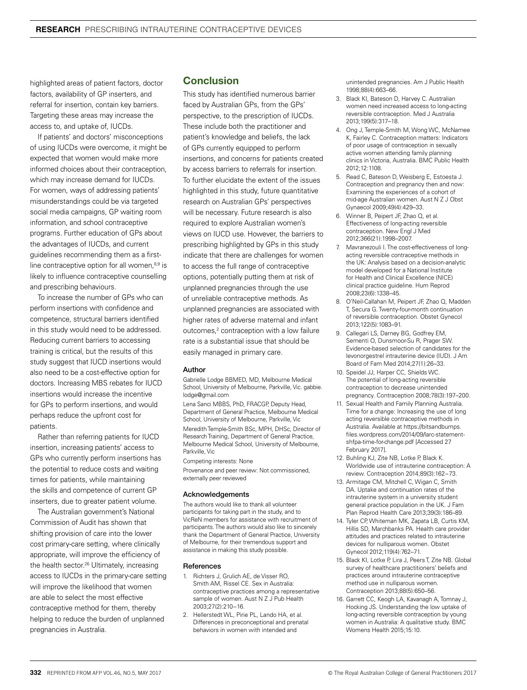highlighted areas of patient factors, doctor factors, availability of GP inserters, and referral for insertion, contain key barriers. Targeting these areas may increase the access to, and uptake of, IUCDs.

If patients' and doctors' misconceptions of using IUCDs were overcome, it might be expected that women would make more informed choices about their contraception, which may increase demand for IUCDs. For women, ways of addressing patients' misunderstandings could be via targeted social media campaigns, GP waiting room information, and school contraceptive programs. Further education of GPs about the advantages of IUCDs, and current guidelines recommending them as a firstline contraceptive option for all women,<sup>8,9</sup> is likely to influence contraceptive counselling and prescribing behaviours.

To increase the number of GPs who can perform insertions with confidence and competence, structural barriers identified in this study would need to be addressed. Reducing current barriers to accessing training is critical, but the results of this study suggest that IUCD insertions would also need to be a cost-effective option for doctors. Increasing MBS rebates for IUCD insertions would increase the incentive for GPs to perform insertions, and would perhaps reduce the upfront cost for patients.

Rather than referring patients for IUCD insertion, increasing patients' access to GPs who currently perform insertions has the potential to reduce costs and waiting times for patients, while maintaining the skills and competence of current GP inserters, due to greater patient volume.

The Australian government's National Commission of Audit has shown that shifting provision of care into the lower cost primary-care setting, where clinically appropriate, will improve the efficiency of the health sector.<sup>26</sup> Ultimately, increasing access to IUCDs in the primary-care setting will improve the likelihood that women are able to select the most effective contraceptive method for them, thereby helping to reduce the burden of unplanned pregnancies in Australia.

# Conclusion

This study has identified numerous barrier faced by Australian GPs, from the GPs' perspective, to the prescription of IUCDs. These include both the practitioner and patient's knowledge and beliefs, the lack of GPs currently equipped to perform insertions, and concerns for patients created by access barriers to referrals for insertion. To further elucidate the extent of the issues highlighted in this study, future quantitative research on Australian GPs' perspectives will be necessary. Future research is also required to explore Australian women's views on IUCD use. However, the barriers to prescribing highlighted by GPs in this study indicate that there are challenges for women to access the full range of contraceptive options, potentially putting them at risk of unplanned pregnancies through the use of unreliable contraceptive methods. As unplanned pregnancies are associated with higher rates of adverse maternal and infant outcomes,<sup>2</sup> contraception with a low failure rate is a substantial issue that should be easily managed in primary care.

#### Author

Gabrielle Lodge BBMED, MD, Melbourne Medical School, University of Melbourne, Parkville, Vic. gabbie. lodge@gmail.com

Lena Sanci MBBS, PhD, FRACGP, Deputy Head, Department of General Practice, Melbourne Medical School, University of Melbourne, Parkville, Vic Meredith Temple-Smith BSc, MPH, DHSc, Director of Research Training, Department of General Practice, Melbourne Medical School, University of Melbourne, Parkville, Vic

Competing interests: None

Provenance and peer review: Not commissioned, externally peer reviewed

#### Acknowledgements

The authors would like to thank all volunteer participants for taking part in the study, and to VicReN members for assistance with recruitment of participants. The authors would also like to sincerely thank the Department of General Practice, University of Melbourne, for their tremendous support and assistance in making this study possible.

#### References

- 1. Richters J, Grulich AE, de Visser RO, Smith AM, Rissel CE. Sex in Australia: contraceptive practices among a representative sample of women. Aust N Z J Pub Health 2003;27(2):210−16.
- 2. Hellerstedt WL, Pirie PL, Lando HA, et al. Differences in preconceptional and prenatal behaviors in women with intended and

unintended pregnancies. Am J Public Health 1998;88(4):663–66.

- 3. Black KI, Bateson D, Harvey C. Australian women need increased access to long-acting reversible contraception. Med J Australia 2013;199(5):317–18.
- 4. Ong J, Temple-Smith M, Wong WC, McNamee K, Fairley C. Contraception matters: Indicators of poor usage of contraception in sexually active women attending family planning clinics in Victoria, Australia. BMC Public Health 2012;12:1108.
- 5. Read C, Bateson D, Weisberg E, Estoesta J. Contraception and pregnancy then and now: Examining the experiences of a cohort of mid-age Australian women. Aust N Z J Obst Gynaecol 2009;49(4):429–33.
- 6. Winner B, Peipert JF, Zhao Q, et al. Effectiveness of long-acting reversible contraception. New Engl J Med 2012;366(21):1998–2007.
- 7. Mavranezouli I. The cost-effectiveness of longacting reversible contraceptive methods in the UK: Analysis based on a decision-analytic model developed for a National Institute for Health and Clinical Excellence (NICE) clinical practice guideline. Hum Reprod 2008;23(6):1338–45.
- 8. O'Neil-Callahan M, Peipert JF, Zhao Q, Madden T, Secura G. Twenty-four-month continuation of reversible contraception. Obstet Gynecol 2013;122(5):1083–91.
- 9. Callegari LS, Darney BG, Godfrey EM, Sementi O, Dunsmoor-Su R, Prager SW. Evidence-based selection of candidates for the levonorgestrel intrauterine device (IUD). J Am Board of Fam Med 2014;27(1):26–33.
- 10. Speidel JJ, Harper CC, Shields WC. The potential of long-acting reversible contraception to decrease unintended pregnancy. Contraception 2008;78(3):197–200.
- 11. Sexual Health and Family Planning Australia. Time for a change: Increasing the use of long acting reversible contraceptive methods in Australia. Available at https://bitsandbumps. files.wordpress.com/2014/09/larc-statementshfpa-time-for-change.pdf [Accessed 27 February 2017].
- 12. Buhling KJ, Zite NB, Lotke P, Black K. Worldwide use of intrauterine contraception: A review. Contraception 2014;89(3):162−73.
- 13. Armitage CM, Mitchell C, Wigan C, Smith DA. Uptake and continuation rates of the intrauterine system in a university student general practice population in the UK. J Fam Plan Reprod Health Care 2013;39(3):186–89.
- 14. Tyler CP, Whiteman MK, Zapata LB, Curtis KM, Hillis SD, Marchbanks PA. Health care provider attitudes and practices related to intrauterine devices for nulliparous women. Obstet Gynecol 2012;119(4):762–71.
- 15. Black KI, Lotke P, Lira J, Peers T, Zite NB. Global survey of healthcare practitioners' beliefs and practices around intrauterine contraceptive method use in nulliparous women. Contraception 2013;88(5):650–56.
- 16. Garrett CC, Keogh LA, Kavanagh A, Tomnay J, Hocking JS. Understanding the low uptake of long-acting reversible contraception by young women in Australia: A qualitative study. BMC Womens Health 2015;15:10.